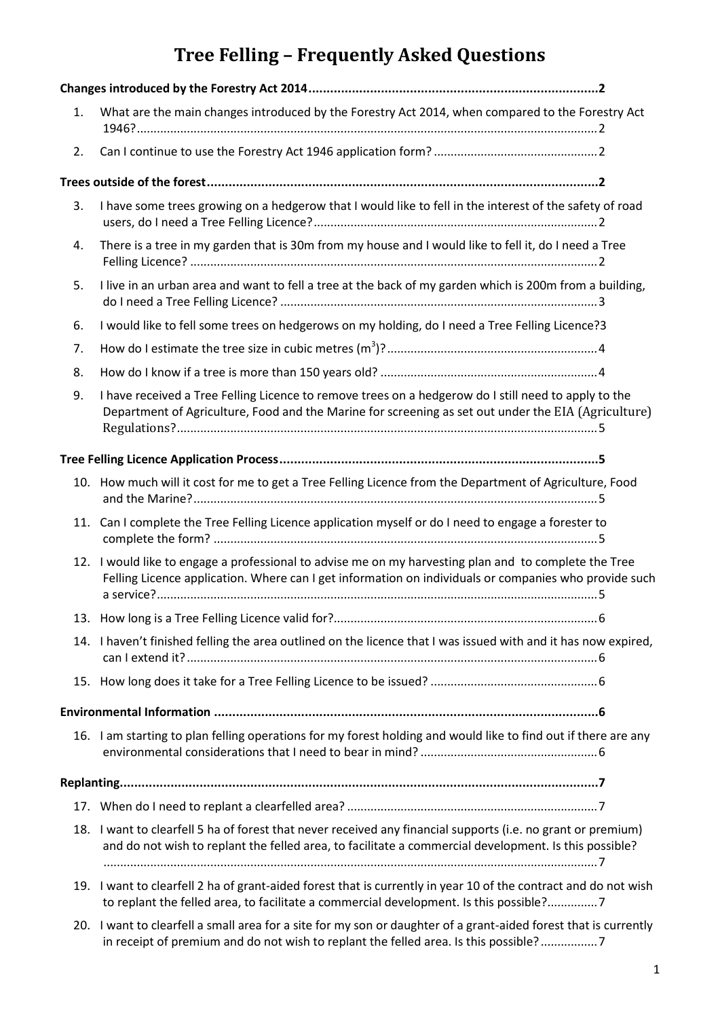# **Tree Felling – Frequently Asked Questions**

| 1. | What are the main changes introduced by the Forestry Act 2014, when compared to the Forestry Act                                                                                                                      |
|----|-----------------------------------------------------------------------------------------------------------------------------------------------------------------------------------------------------------------------|
| 2. |                                                                                                                                                                                                                       |
|    |                                                                                                                                                                                                                       |
| 3. | I have some trees growing on a hedgerow that I would like to fell in the interest of the safety of road                                                                                                               |
| 4. | There is a tree in my garden that is 30m from my house and I would like to fell it, do I need a Tree                                                                                                                  |
| 5. | I live in an urban area and want to fell a tree at the back of my garden which is 200m from a building,                                                                                                               |
| 6. | I would like to fell some trees on hedgerows on my holding, do I need a Tree Felling Licence?3                                                                                                                        |
| 7. |                                                                                                                                                                                                                       |
| 8. |                                                                                                                                                                                                                       |
| 9. | I have received a Tree Felling Licence to remove trees on a hedgerow do I still need to apply to the<br>Department of Agriculture, Food and the Marine for screening as set out under the EIA (Agriculture)           |
|    |                                                                                                                                                                                                                       |
|    | 10. How much will it cost for me to get a Tree Felling Licence from the Department of Agriculture, Food                                                                                                               |
|    | 11. Can I complete the Tree Felling Licence application myself or do I need to engage a forester to                                                                                                                   |
|    | 12. I would like to engage a professional to advise me on my harvesting plan and to complete the Tree<br>Felling Licence application. Where can I get information on individuals or companies who provide such        |
|    |                                                                                                                                                                                                                       |
|    | 14. I haven't finished felling the area outlined on the licence that I was issued with and it has now expired,                                                                                                        |
|    |                                                                                                                                                                                                                       |
|    |                                                                                                                                                                                                                       |
|    | 16. I am starting to plan felling operations for my forest holding and would like to find out if there are any                                                                                                        |
|    |                                                                                                                                                                                                                       |
|    |                                                                                                                                                                                                                       |
|    | 18. I want to clearfell 5 ha of forest that never received any financial supports (i.e. no grant or premium)<br>and do not wish to replant the felled area, to facilitate a commercial development. Is this possible? |
|    | 19. I want to clearfell 2 ha of grant-aided forest that is currently in year 10 of the contract and do not wish<br>to replant the felled area, to facilitate a commercial development. Is this possible?7             |

20. [I want to clearfell a small area for a site for my son or daughter of a grant-aided forest that is currently](#page-6-4)  [in receipt of premium and do not wish to replant the felled area. Is this possible?](#page-6-4) .................7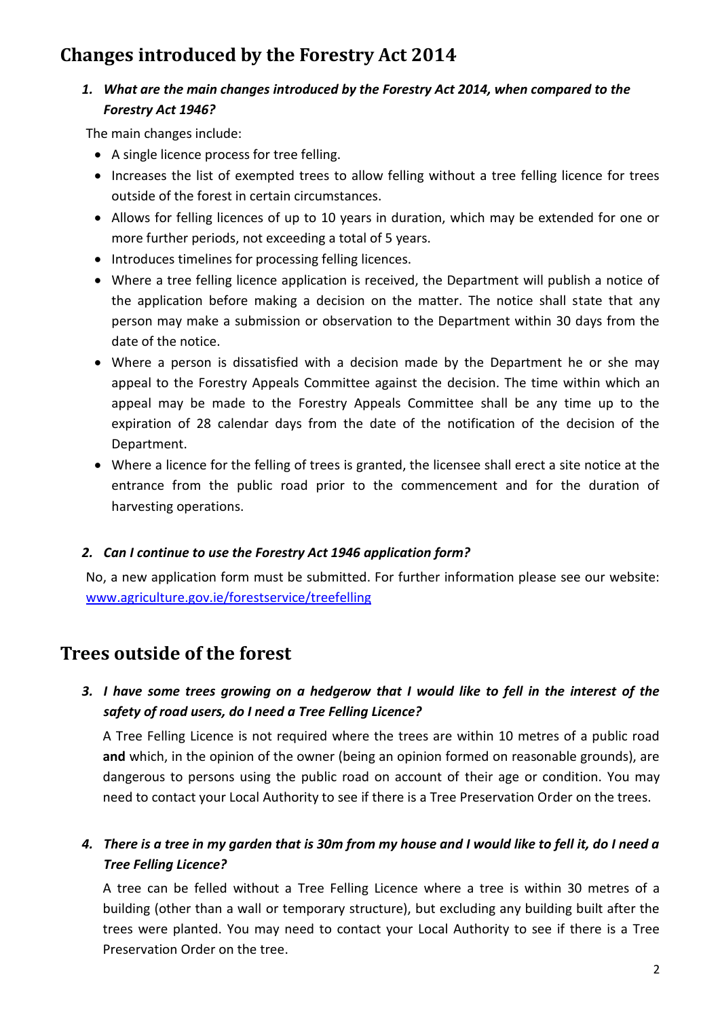# <span id="page-1-1"></span><span id="page-1-0"></span>**Changes introduced by the Forestry Act 2014**

### *1. What are the main changes introduced by the Forestry Act 2014, when compared to the Forestry Act 1946?*

The main changes include:

- A single licence process for tree felling.
- Increases the list of exempted trees to allow felling without a tree felling licence for trees outside of the forest in certain circumstances.
- Allows for felling licences of up to 10 years in duration, which may be extended for one or more further periods, not exceeding a total of 5 years.
- Introduces timelines for processing felling licences.
- Where a tree felling licence application is received, the Department will publish a notice of the application before making a decision on the matter. The notice shall state that any person may make a submission or observation to the Department within 30 days from the date of the notice.
- Where a person is dissatisfied with a decision made by the Department he or she may appeal to the Forestry Appeals Committee against the decision. The time within which an appeal may be made to the Forestry Appeals Committee shall be any time up to the expiration of 28 calendar days from the date of the notification of the decision of the Department.
- Where a licence for the felling of trees is granted, the licensee shall erect a site notice at the entrance from the public road prior to the commencement and for the duration of harvesting operations.

#### <span id="page-1-2"></span>*2. Can I continue to use the Forestry Act 1946 application form?*

No, a new application form must be submitted. For further information please see our website: [www.agriculture.gov.ie/forestservice/treefelling](http://www.agriculture.gov.ie/forestservice/treefelling) 

## <span id="page-1-3"></span>**Trees outside of the forest**

## <span id="page-1-4"></span>*3. I have some trees growing on a hedgerow that I would like to fell in the interest of the safety of road users, do I need a Tree Felling Licence?*

A Tree Felling Licence is not required where the trees are within 10 metres of a public road **and** which, in the opinion of the owner (being an opinion formed on reasonable grounds), are dangerous to persons using the public road on account of their age or condition. You may need to contact your Local Authority to see if there is a Tree Preservation Order on the trees.

<span id="page-1-5"></span>*4. There is a tree in my garden that is 30m from my house and I would like to fell it, do I need a Tree Felling Licence?*

A tree can be felled without a Tree Felling Licence where a tree is within 30 metres of a building (other than a wall or temporary structure), but excluding any building built after the trees were planted. You may need to contact your Local Authority to see if there is a Tree Preservation Order on the tree.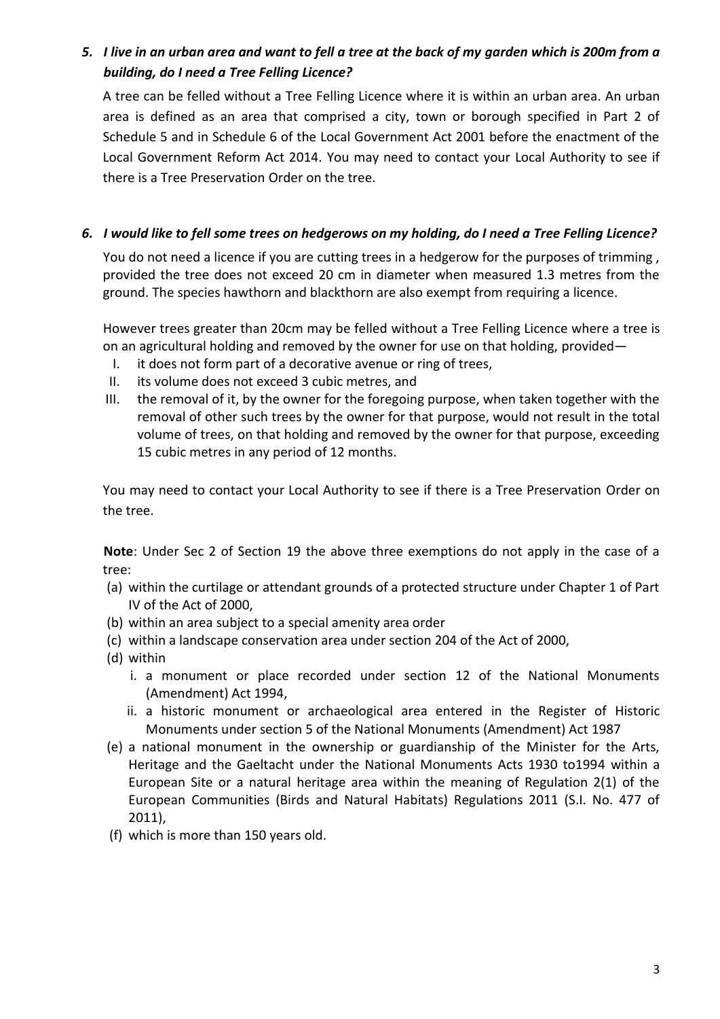## <span id="page-2-0"></span>*5. I live in an urban area and want to fell a tree at the back of my garden which is 200m from a building, do I need a Tree Felling Licence?*

A tree can be felled without a Tree Felling Licence where it is within an urban area. An urban area is defined as an area that comprised a city, town or borough specified in Part 2 of Schedule 5 and in Schedule 6 of the Local Government Act 2001 before the enactment of the Local Government Reform Act 2014. You may need to contact your Local Authority to see if there is a Tree Preservation Order on the tree.

#### <span id="page-2-1"></span>*6. I would like to fell some trees on hedgerows on my holding, do I need a Tree Felling Licence?*

You do not need a licence if you are cutting trees in a hedgerow for the purposes of trimming, provided the tree does not exceed 20 cm in diameter when measured 1.3 metres from the ground. The species hawthorn and blackthorn are also exempt from requiring a licence.

However trees greater than 20cm may be felled without a Tree Felling Licence where a tree is on an agricultural holding and removed by the owner for use on that holding, provided—

- I. it does not form part of a decorative avenue or ring of trees,
- II. its volume does not exceed 3 cubic metres, and
- III. the removal of it, by the owner for the foregoing purpose, when taken together with the removal of other such trees by the owner for that purpose, would not result in the total volume of trees, on that holding and removed by the owner for that purpose, exceeding 15 cubic metres in any period of 12 months.

You may need to contact your Local Authority to see if there is a Tree Preservation Order on the tree.

**Note**: Under Sec 2 of Section 19 the above three exemptions do not apply in the case of a tree:

- (a) within the curtilage or attendant grounds of a protected structure under Chapter 1 of Part IV of the Act of 2000,
- (b) within an area subject to a special amenity area order
- (c) within a landscape conservation area under section 204 of the Act of 2000,
- (d) within
	- i. a monument or place recorded under section 12 of the National Monuments (Amendment) Act 1994,
	- ii. a historic monument or archaeological area entered in the Register of Historic Monuments under section 5 of the National Monuments (Amendment) Act 1987
- (e) a national monument in the ownership or guardianship of the Minister for the Arts, Heritage and the Gaeltacht under the National Monuments Acts 1930 to1994 within a European Site or a natural heritage area within the meaning of Regulation 2(1) of the European Communities (Birds and Natural Habitats) Regulations 2011 (S.I. No. 477 of 2011),
- (f) which is more than 150 years old.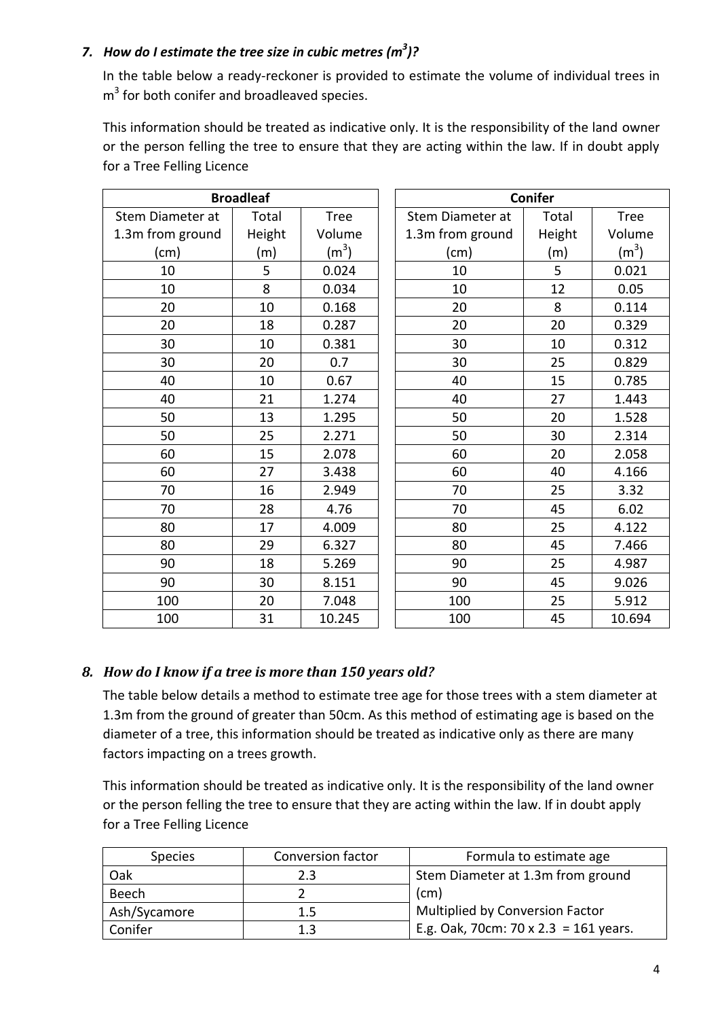### <span id="page-3-0"></span>*7. How do I estimate the tree size in cubic metres (m<sup>3</sup> )?*

In the table below a ready-reckoner is provided to estimate the volume of individual trees in  $m<sup>3</sup>$  for both conifer and broadleaved species.

This information should be treated as indicative only. It is the responsibility of the land owner or the person felling the tree to ensure that they are acting within the law. If in doubt apply for a Tree Felling Licence

| <b>Broadleaf</b> |        |             |  | <b>Conifer</b>   |        |             |
|------------------|--------|-------------|--|------------------|--------|-------------|
| Stem Diameter at | Total  | <b>Tree</b> |  | Stem Diameter at | Total  | <b>Tree</b> |
| 1.3m from ground | Height | Volume      |  | 1.3m from ground | Height | Volume      |
| (cm)             | (m)    | $(m^3)$     |  | (cm)             | (m)    | $(m^3)$     |
| 10               | 5      | 0.024       |  | 10               | 5      | 0.021       |
| 10               | 8      | 0.034       |  | 10               | 12     | 0.05        |
| 20               | 10     | 0.168       |  | 20               | 8      | 0.114       |
| 20               | 18     | 0.287       |  | 20               | 20     | 0.329       |
| 30               | 10     | 0.381       |  | 30               | 10     | 0.312       |
| 30               | 20     | 0.7         |  | 30               | 25     | 0.829       |
| 40               | 10     | 0.67        |  | 40               | 15     | 0.785       |
| 40               | 21     | 1.274       |  | 40               | 27     | 1.443       |
| 50               | 13     | 1.295       |  | 50               | 20     | 1.528       |
| 50               | 25     | 2.271       |  | 50               | 30     | 2.314       |
| 60               | 15     | 2.078       |  | 60               | 20     | 2.058       |
| 60               | 27     | 3.438       |  | 60               | 40     | 4.166       |
| 70               | 16     | 2.949       |  | 70               | 25     | 3.32        |
| 70               | 28     | 4.76        |  | 70               | 45     | 6.02        |
| 80               | 17     | 4.009       |  | 80               | 25     | 4.122       |
| 80               | 29     | 6.327       |  | 80               | 45     | 7.466       |
| 90               | 18     | 5.269       |  | 90               | 25     | 4.987       |
| 90               | 30     | 8.151       |  | 90               | 45     | 9.026       |
| 100              | 20     | 7.048       |  | 100              | 25     | 5.912       |
| 100              | 31     | 10.245      |  | 100              | 45     | 10.694      |

### <span id="page-3-1"></span>*8. How do I know if a tree is more than 150 years old?*

The table below details a method to estimate tree age for those trees with a stem diameter at 1.3m from the ground of greater than 50cm. As this method of estimating age is based on the diameter of a tree, this information should be treated as indicative only as there are many factors impacting on a trees growth.

This information should be treated as indicative only. It is the responsibility of the land owner or the person felling the tree to ensure that they are acting within the law. If in doubt apply for a Tree Felling Licence

| <b>Species</b> | <b>Conversion factor</b> | Formula to estimate age               |  |  |
|----------------|--------------------------|---------------------------------------|--|--|
| Oak            | 2.3                      | Stem Diameter at 1.3m from ground     |  |  |
| Beech          |                          | (cm)                                  |  |  |
| Ash/Sycamore   | 1.5                      | Multiplied by Conversion Factor       |  |  |
| Conifer        |                          | E.g. Oak, 70cm: 70 x 2.3 = 161 years. |  |  |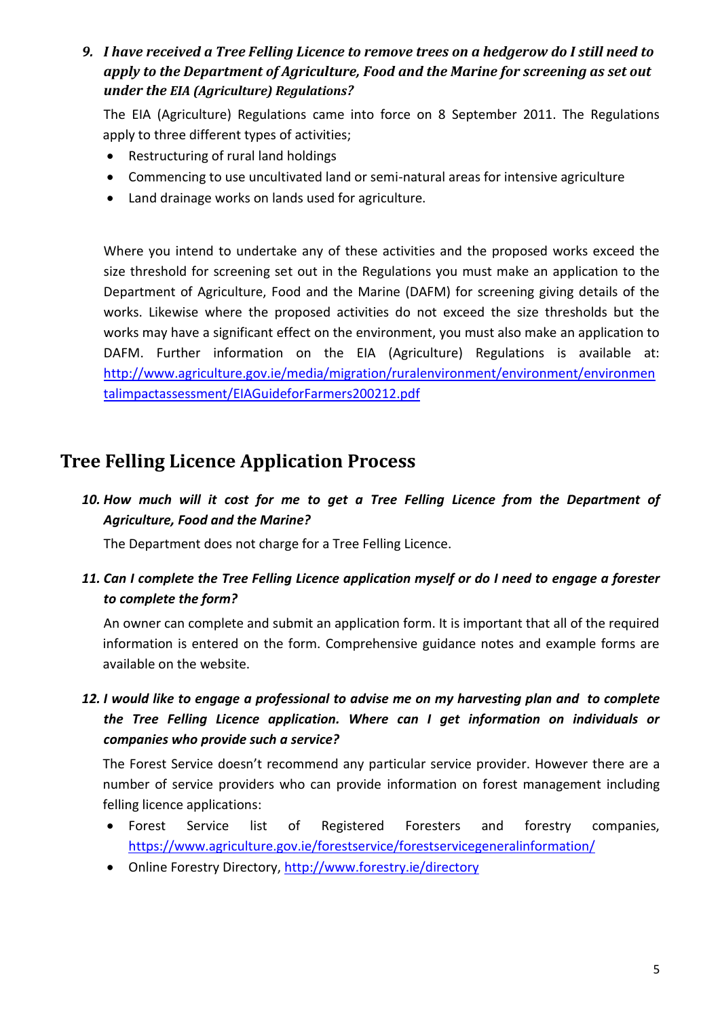<span id="page-4-0"></span>*9. I have received a Tree Felling Licence to remove trees on a hedgerow do I still need to apply to the Department of Agriculture, Food and the Marine for screening as set out under the EIA (Agriculture) Regulations?* 

The EIA (Agriculture) Regulations came into force on 8 September 2011. The Regulations apply to three different types of activities;

- Restructuring of rural land holdings
- Commencing to use uncultivated land or semi-natural areas for intensive agriculture
- Land drainage works on lands used for agriculture.

Where you intend to undertake any of these activities and the proposed works exceed the size threshold for screening set out in the Regulations you must make an application to the Department of Agriculture, Food and the Marine (DAFM) for screening giving details of the works. Likewise where the proposed activities do not exceed the size thresholds but the works may have a significant effect on the environment, you must also make an application to DAFM. Further information on the EIA (Agriculture) Regulations is available at: [http://www.agriculture.gov.ie/media/migration/ruralenvironment/environment/environmen](http://www.agriculture.gov.ie/media/migration/ruralenvironment/environment/environmentalimpactassessment/EIAGuideforFarmers200212.pdf) [talimpactassessment/EIAGuideforFarmers200212.pdf](http://www.agriculture.gov.ie/media/migration/ruralenvironment/environment/environmentalimpactassessment/EIAGuideforFarmers200212.pdf)

## <span id="page-4-1"></span>**Tree Felling Licence Application Process**

<span id="page-4-2"></span>*10. How much will it cost for me to get a Tree Felling Licence from the Department of Agriculture, Food and the Marine?* 

The Department does not charge for a Tree Felling Licence.

<span id="page-4-3"></span>*11. Can I complete the Tree Felling Licence application myself or do I need to engage a forester to complete the form?* 

An owner can complete and submit an application form. It is important that all of the required information is entered on the form. Comprehensive guidance notes and example forms are available on the website.

<span id="page-4-4"></span>*12. I would like to engage a professional to advise me on my harvesting plan and to complete the Tree Felling Licence application. Where can I get information on individuals or companies who provide such a service?* 

The Forest Service doesn't recommend any particular service provider. However there are a number of service providers who can provide information on forest management including felling licence applications:

- Forest Service list of Registered Foresters and forestry companies, <https://www.agriculture.gov.ie/forestservice/forestservicegeneralinformation/>
- Online Forestry Directory,<http://www.forestry.ie/directory>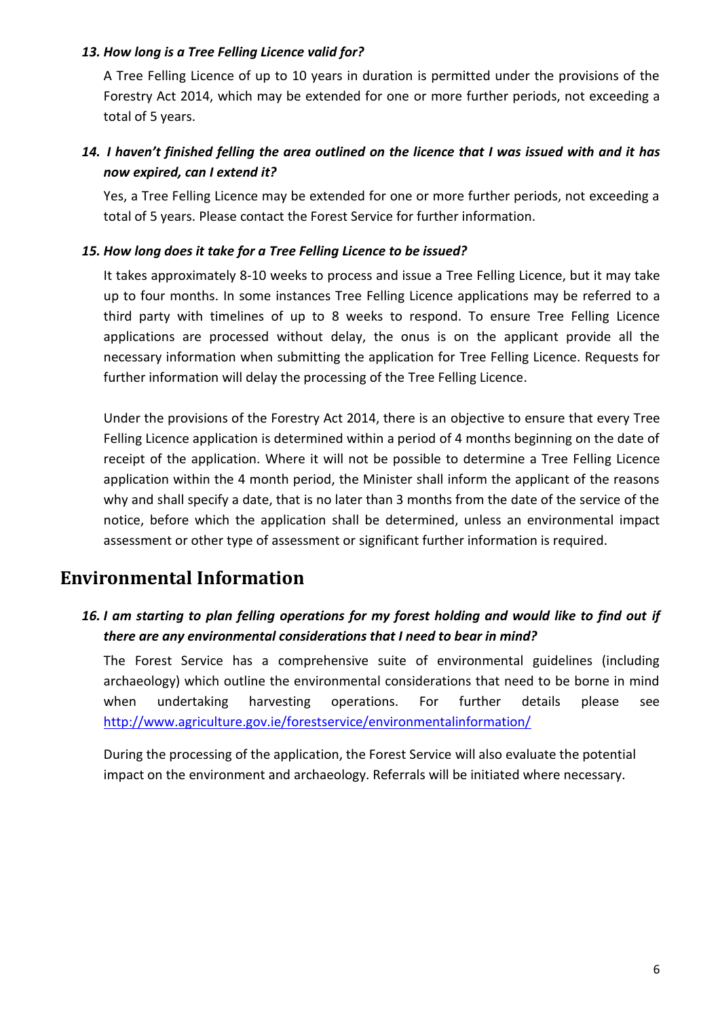#### <span id="page-5-0"></span>*13. How long is a Tree Felling Licence valid for?*

A Tree Felling Licence of up to 10 years in duration is permitted under the provisions of the Forestry Act 2014, which may be extended for one or more further periods, not exceeding a total of 5 years.

## <span id="page-5-1"></span>*14. I haven't finished felling the area outlined on the licence that I was issued with and it has now expired, can I extend it?*

Yes, a Tree Felling Licence may be extended for one or more further periods, not exceeding a total of 5 years. Please contact the Forest Service for further information.

#### <span id="page-5-2"></span>*15. How long does it take for a Tree Felling Licence to be issued?*

It takes approximately 8-10 weeks to process and issue a Tree Felling Licence, but it may take up to four months. In some instances Tree Felling Licence applications may be referred to a third party with timelines of up to 8 weeks to respond. To ensure Tree Felling Licence applications are processed without delay, the onus is on the applicant provide all the necessary information when submitting the application for Tree Felling Licence. Requests for further information will delay the processing of the Tree Felling Licence.

Under the provisions of the Forestry Act 2014, there is an objective to ensure that every Tree Felling Licence application is determined within a period of 4 months beginning on the date of receipt of the application. Where it will not be possible to determine a Tree Felling Licence application within the 4 month period, the Minister shall inform the applicant of the reasons why and shall specify a date, that is no later than 3 months from the date of the service of the notice, before which the application shall be determined, unless an environmental impact assessment or other type of assessment or significant further information is required.

## <span id="page-5-3"></span>**Environmental Information**

## <span id="page-5-4"></span>*16. I am starting to plan felling operations for my forest holding and would like to find out if there are any environmental considerations that I need to bear in mind?*

The Forest Service has a comprehensive suite of environmental guidelines (including archaeology) which outline the environmental considerations that need to be borne in mind when undertaking harvesting operations. For further details please see <http://www.agriculture.gov.ie/forestservice/environmentalinformation/>

During the processing of the application, the Forest Service will also evaluate the potential impact on the environment and archaeology. Referrals will be initiated where necessary.